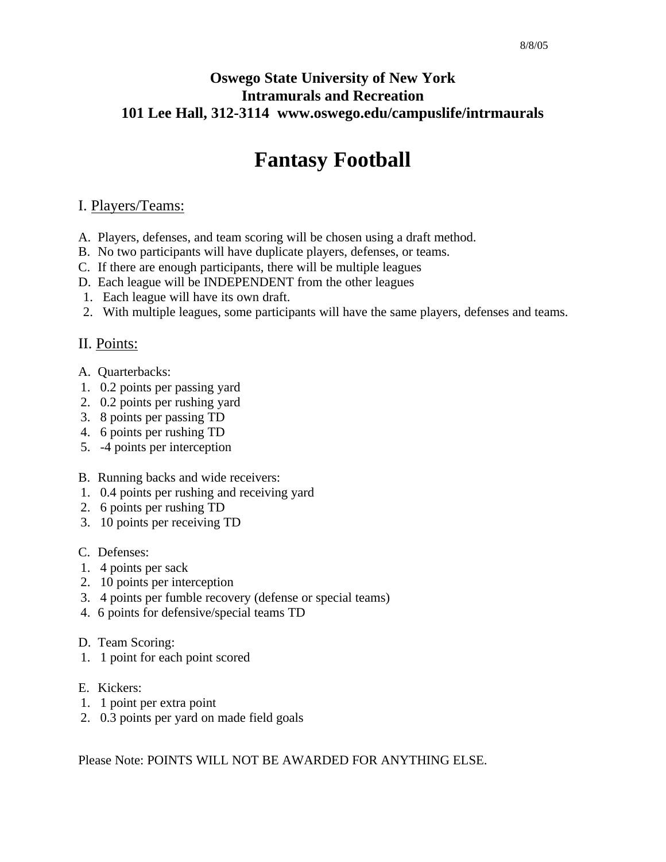## **Oswego State University of New York Intramurals and Recreation 101 Lee Hall, 312-3114 www.oswego.edu/campuslife/intrmaurals**

# **Fantasy Football**

#### I. Players/Teams:

- A. Players, defenses, and team scoring will be chosen using a draft method.
- B. No two participants will have duplicate players, defenses, or teams.
- C. If there are enough participants, there will be multiple leagues
- D. Each league will be INDEPENDENT from the other leagues
- 1. Each league will have its own draft.
- 2. With multiple leagues, some participants will have the same players, defenses and teams.

### II. Points:

- A. Quarterbacks:
- 1. 0.2 points per passing yard
- 2. 0.2 points per rushing yard
- 3. 8 points per passing TD
- 4. 6 points per rushing TD
- 5. -4 points per interception
- B. Running backs and wide receivers:
- 1. 0.4 points per rushing and receiving yard
- 2. 6 points per rushing TD
- 3. 10 points per receiving TD
- C. Defenses:
- 1. 4 points per sack
- 2. 10 points per interception
- 3. 4 points per fumble recovery (defense or special teams)
- 4. 6 points for defensive/special teams TD
- D. Team Scoring:
- 1. 1 point for each point scored
- E. Kickers:
- 1. 1 point per extra point
- 2. 0.3 points per yard on made field goals

Please Note: POINTS WILL NOT BE AWARDED FOR ANYTHING ELSE.